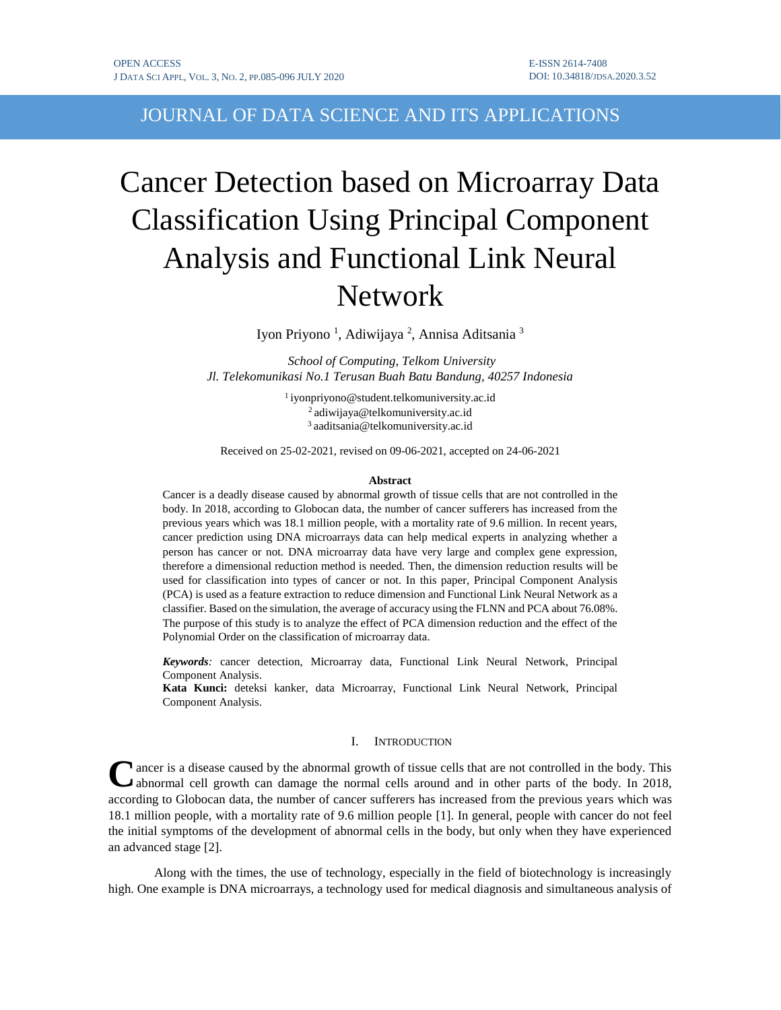JOURNAL OF DATA SCIENCE AND ITS APPLICATIONS

# Cancer Detection based on Microarray Data Classification Using Principal Component Analysis and Functional Link Neural Network

Iyon Priyono<sup>1</sup>, Adiwijaya<sup>2</sup>, Annisa Aditsania<sup>3</sup>

*School of Computing, Telkom University Jl. Telekomunikasi No.1 Terusan Buah Batu Bandung, 40257 Indonesia*

> <sup>1</sup>iyonpriyono@student.telkomuniversity.ac.id 2 adiwijaya@telkomuniversity.ac.id <sup>3</sup>[aaditsania@telkomuniversity.ac.id](mailto:aaditsania@telkomuniversity.ac.id)

Received on 25-02-2021, revised on 09-06-2021, accepted on 24-06-2021

#### **Abstract**

Cancer is a deadly disease caused by abnormal growth of tissue cells that are not controlled in the body. In 2018, according to Globocan data, the number of cancer sufferers has increased from the previous years which was 18.1 million people, with a mortality rate of 9.6 million. In recent years, cancer prediction using DNA microarrays data can help medical experts in analyzing whether a person has cancer or not. DNA microarray data have very large and complex gene expression, therefore a dimensional reduction method is needed. Then, the dimension reduction results will be used for classification into types of cancer or not. In this paper, Principal Component Analysis (PCA) is used as a feature extraction to reduce dimension and Functional Link Neural Network as a classifier. Based on the simulation, the average of accuracy using the FLNN and PCA about 76.08%. The purpose of this study is to analyze the effect of PCA dimension reduction and the effect of the Polynomial Order on the classification of microarray data.

*Keywords:* cancer detection, Microarray data, Functional Link Neural Network, Principal Component Analysis.

**Kata Kunci:** deteksi kanker, data Microarray, Functional Link Neural Network, Principal Component Analysis.

## I. INTRODUCTION

A ancer is a disease caused by the abnormal growth of tissue cells that are not controlled in the body. This Cancer is a disease caused by the abnormal growth of tissue cells that are not controlled in the body. This abnormal cell growth can damage the normal cells around and in other parts of the body. In 2018, according to Globocan data, the number of cancer sufferers has increased from the previous years which was 18.1 million people, with a mortality rate of 9.6 million people [1]. In general, people with cancer do not feel the initial symptoms of the development of abnormal cells in the body, but only when they have experienced an advanced stage [2].

Along with the times, the use of technology, especially in the field of biotechnology is increasingly high. One example is DNA microarrays, a technology used for medical diagnosis and simultaneous analysis of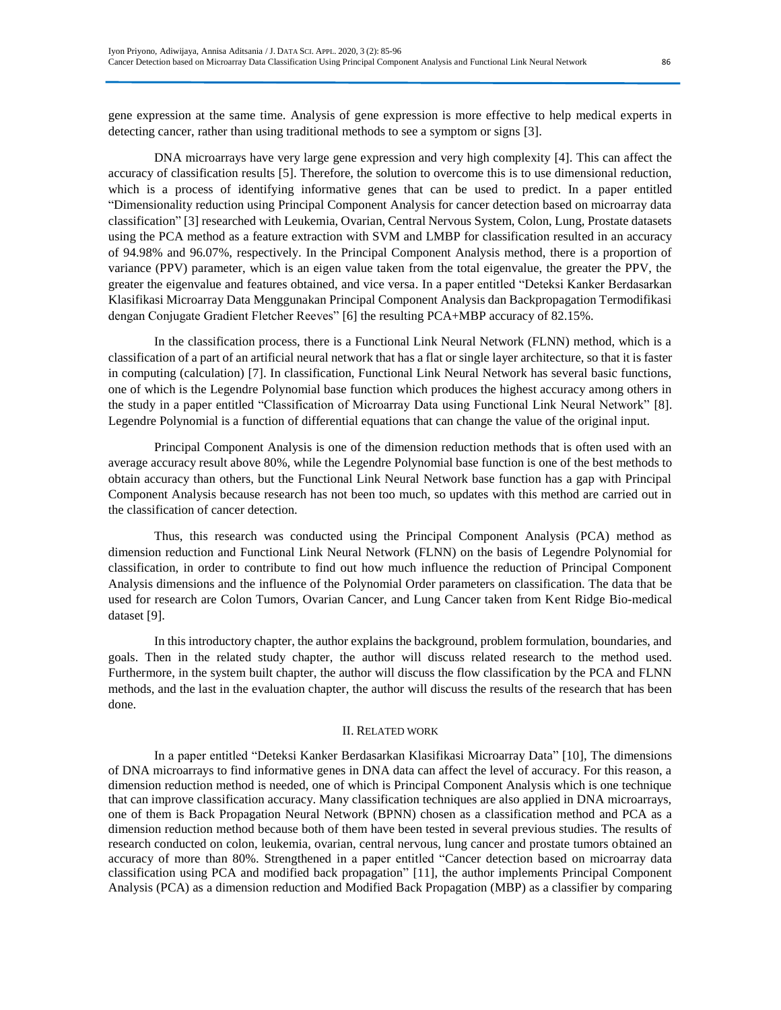gene expression at the same time. Analysis of gene expression is more effective to help medical experts in detecting cancer, rather than using traditional methods to see a symptom or signs [3].

DNA microarrays have very large gene expression and very high complexity [4]. This can affect the accuracy of classification results [5]. Therefore, the solution to overcome this is to use dimensional reduction, which is a process of identifying informative genes that can be used to predict. In a paper entitled "Dimensionality reduction using Principal Component Analysis for cancer detection based on microarray data classification" [3] researched with Leukemia, Ovarian, Central Nervous System, Colon, Lung, Prostate datasets using the PCA method as a feature extraction with SVM and LMBP for classification resulted in an accuracy of 94.98% and 96.07%, respectively. In the Principal Component Analysis method, there is a proportion of variance (PPV) parameter, which is an eigen value taken from the total eigenvalue, the greater the PPV, the greater the eigenvalue and features obtained, and vice versa. In a paper entitled "Deteksi Kanker Berdasarkan Klasifikasi Microarray Data Menggunakan Principal Component Analysis dan Backpropagation Termodifikasi dengan Conjugate Gradient Fletcher Reeves" [6] the resulting PCA+MBP accuracy of 82.15%.

In the classification process, there is a Functional Link Neural Network (FLNN) method, which is a classification of a part of an artificial neural network that has a flat or single layer architecture, so that it is faster in computing (calculation) [7]. In classification, Functional Link Neural Network has several basic functions, one of which is the Legendre Polynomial base function which produces the highest accuracy among others in the study in a paper entitled "Classification of Microarray Data using Functional Link Neural Network" [8]. Legendre Polynomial is a function of differential equations that can change the value of the original input.

Principal Component Analysis is one of the dimension reduction methods that is often used with an average accuracy result above 80%, while the Legendre Polynomial base function is one of the best methods to obtain accuracy than others, but the Functional Link Neural Network base function has a gap with Principal Component Analysis because research has not been too much, so updates with this method are carried out in the classification of cancer detection.

Thus, this research was conducted using the Principal Component Analysis (PCA) method as dimension reduction and Functional Link Neural Network (FLNN) on the basis of Legendre Polynomial for classification, in order to contribute to find out how much influence the reduction of Principal Component Analysis dimensions and the influence of the Polynomial Order parameters on classification. The data that be used for research are Colon Tumors, Ovarian Cancer, and Lung Cancer taken from Kent Ridge Bio-medical dataset [9].

In this introductory chapter, the author explains the background, problem formulation, boundaries, and goals. Then in the related study chapter, the author will discuss related research to the method used. Furthermore, in the system built chapter, the author will discuss the flow classification by the PCA and FLNN methods, and the last in the evaluation chapter, the author will discuss the results of the research that has been done.

#### II. RELATED WORK

In a paper entitled "Deteksi Kanker Berdasarkan Klasifikasi Microarray Data" [10], The dimensions of DNA microarrays to find informative genes in DNA data can affect the level of accuracy. For this reason, a dimension reduction method is needed, one of which is Principal Component Analysis which is one technique that can improve classification accuracy. Many classification techniques are also applied in DNA microarrays, one of them is Back Propagation Neural Network (BPNN) chosen as a classification method and PCA as a dimension reduction method because both of them have been tested in several previous studies. The results of research conducted on colon, leukemia, ovarian, central nervous, lung cancer and prostate tumors obtained an accuracy of more than 80%. Strengthened in a paper entitled "Cancer detection based on microarray data classification using PCA and modified back propagation" [11], the author implements Principal Component Analysis (PCA) as a dimension reduction and Modified Back Propagation (MBP) as a classifier by comparing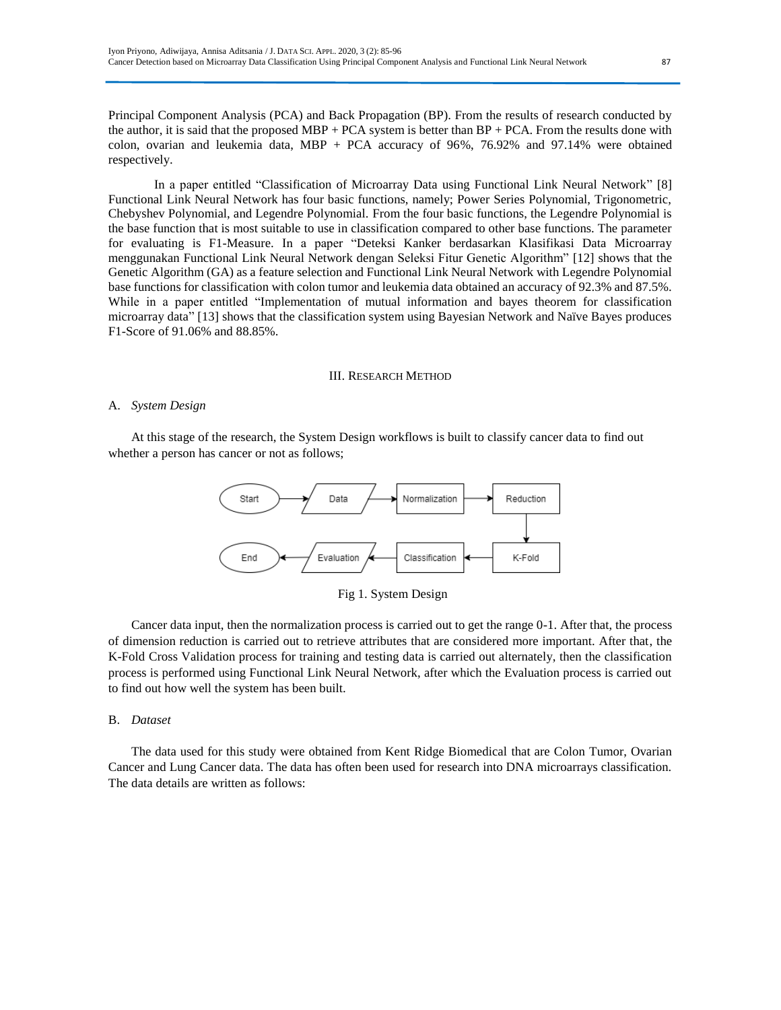Principal Component Analysis (PCA) and Back Propagation (BP). From the results of research conducted by the author, it is said that the proposed MBP + PCA system is better than  $BP$  + PCA. From the results done with colon, ovarian and leukemia data, MBP + PCA accuracy of 96%, 76.92% and 97.14% were obtained respectively.

In a paper entitled "Classification of Microarray Data using Functional Link Neural Network" [8] Functional Link Neural Network has four basic functions, namely; Power Series Polynomial, Trigonometric, Chebyshev Polynomial, and Legendre Polynomial. From the four basic functions, the Legendre Polynomial is the base function that is most suitable to use in classification compared to other base functions. The parameter for evaluating is F1-Measure. In a paper "Deteksi Kanker berdasarkan Klasifikasi Data Microarray menggunakan Functional Link Neural Network dengan Seleksi Fitur Genetic Algorithm" [12] shows that the Genetic Algorithm (GA) as a feature selection and Functional Link Neural Network with Legendre Polynomial base functions for classification with colon tumor and leukemia data obtained an accuracy of 92.3% and 87.5%. While in a paper entitled "Implementation of mutual information and bayes theorem for classification microarray data" [13] shows that the classification system using Bayesian Network and Naïve Bayes produces F1-Score of 91.06% and 88.85%.

#### III. RESEARCH METHOD

## A. *System Design*

At this stage of the research, the System Design workflows is built to classify cancer data to find out whether a person has cancer or not as follows;



Fig 1. System Design

Cancer data input, then the normalization process is carried out to get the range 0-1. After that, the process of dimension reduction is carried out to retrieve attributes that are considered more important. After that, the K-Fold Cross Validation process for training and testing data is carried out alternately, then the classification process is performed using Functional Link Neural Network, after which the Evaluation process is carried out to find out how well the system has been built.

#### B. *Dataset*

The data used for this study were obtained from Kent Ridge Biomedical that are Colon Tumor, Ovarian Cancer and Lung Cancer data. The data has often been used for research into DNA microarrays classification. The data details are written as follows: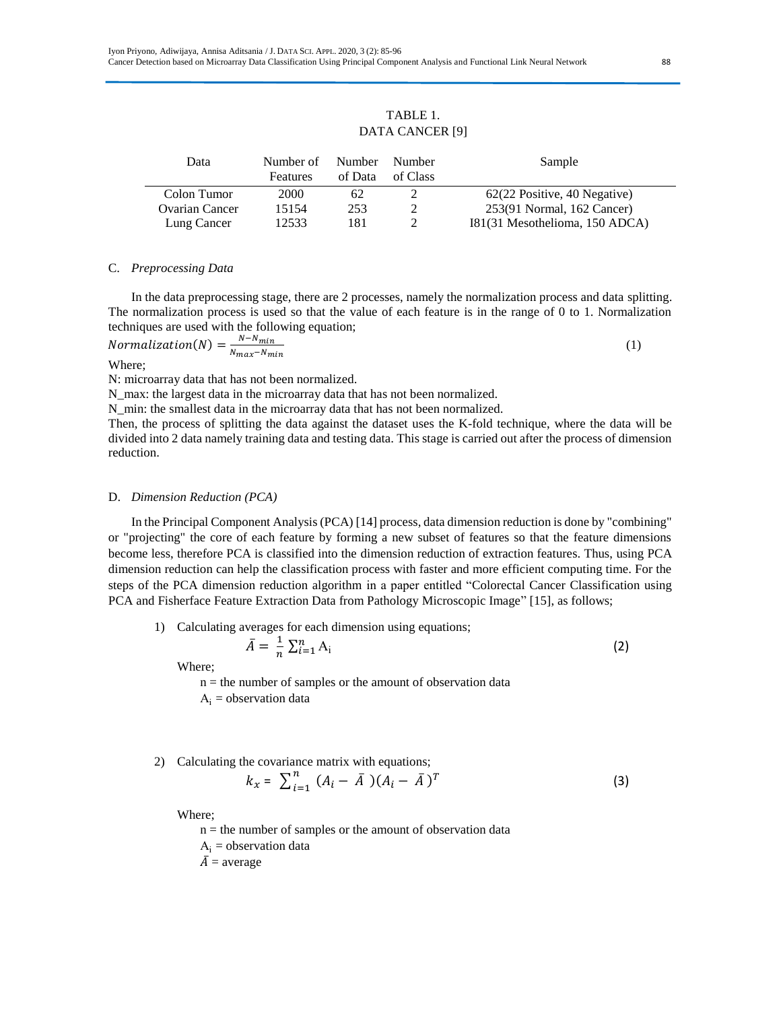# TABLE 1. DATA CANCER [9]

| Data                  | Number of<br>Features | Number<br>of Data | Number<br>of Class | Sample                         |
|-----------------------|-----------------------|-------------------|--------------------|--------------------------------|
| Colon Tumor           | 2000                  | 62                |                    | 62(22 Positive, 40 Negative)   |
| <b>Ovarian Cancer</b> | 15154                 | 253               |                    | 253(91 Normal, 162 Cancer)     |
| Lung Cancer           | 12533                 | 181               |                    | I81(31 Mesothelioma, 150 ADCA) |

## C. *Preprocessing Data*

In the data preprocessing stage, there are 2 processes, namely the normalization process and data splitting. The normalization process is used so that the value of each feature is in the range of 0 to 1. Normalization techniques are used with the following equation;

$$
Normalization(N) = \frac{N - N_{min}}{N_{max} - N_{min}}\tag{1}
$$

Where;

N: microarray data that has not been normalized.

N\_max: the largest data in the microarray data that has not been normalized.

N\_min: the smallest data in the microarray data that has not been normalized.

Then, the process of splitting the data against the dataset uses the K-fold technique, where the data will be divided into 2 data namely training data and testing data. This stage is carried out after the process of dimension reduction.

#### D. *Dimension Reduction (PCA)*

In the Principal Component Analysis (PCA) [14] process, data dimension reduction is done by "combining" or "projecting" the core of each feature by forming a new subset of features so that the feature dimensions become less, therefore PCA is classified into the dimension reduction of extraction features. Thus, using PCA dimension reduction can help the classification process with faster and more efficient computing time. For the steps of the PCA dimension reduction algorithm in a paper entitled "Colorectal Cancer Classification using PCA and Fisherface Feature Extraction Data from Pathology Microscopic Image" [15], as follows;

1) Calculating averages for each dimension using equations;

$$
\bar{A} = \frac{1}{n} \sum_{i=1}^{n} A_i
$$
 (2)

Where;

 $n =$  the number of samples or the amount of observation data  $A_i$  = observation data

## 2) Calculating the covariance matrix with equations;

$$
k_x = \sum_{i=1}^n (A_i - \bar{A})(\bar{A}_i - \bar{A})^T
$$
 (3)

Where;

 $n =$  the number of samples or the amount of observation data  $A_i$  = observation data  $\overline{A}$  = average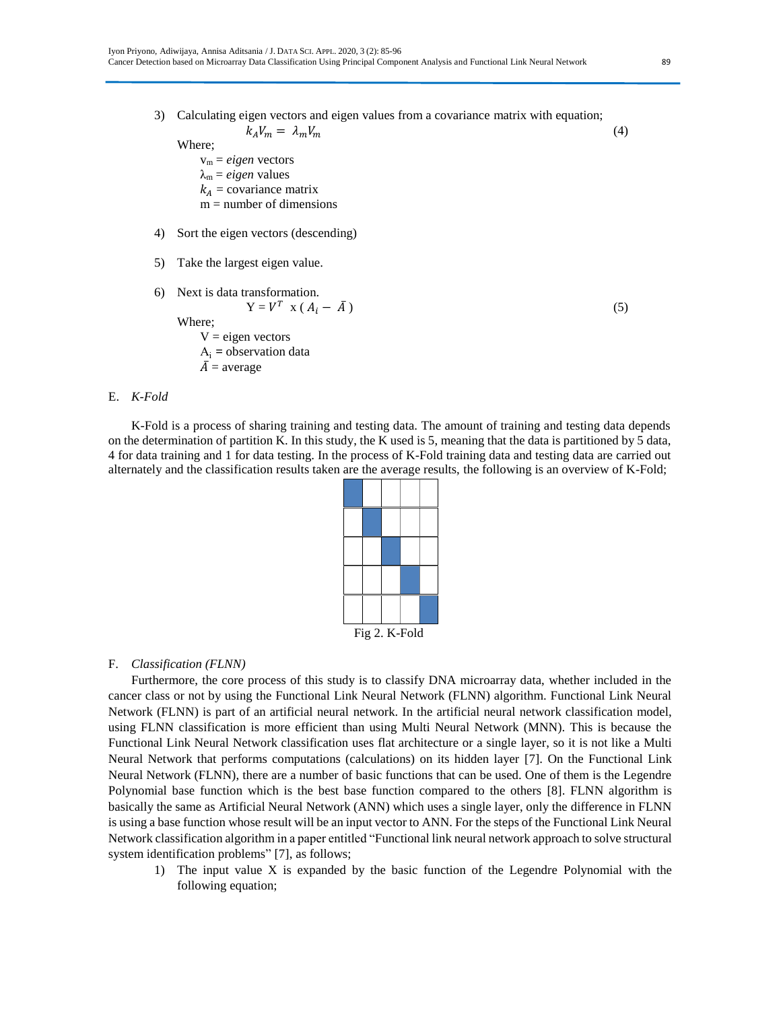3) Calculating eigen vectors and eigen values from a covariance matrix with equation;  $k_A V_m = \lambda_m V_m$  (4)

Where;

 $v_m = eigen$  vectors λ<sup>m</sup> = *eigen* values  $k_A$  = covariance matrix  $m =$  number of dimensions

- 4) Sort the eigen vectors (descending)
- 5) Take the largest eigen value.

 $\overline{A}$  = average

6) Next is data transformation.  $Y = V^T$  x ( $A_i - \bar{A}$ ) (5) Where;  $V = eigenvectors$  $A_i$  = observation data

#### E. *K-Fold*

K-Fold is a process of sharing training and testing data. The amount of training and testing data depends on the determination of partition K. In this study, the K used is 5, meaning that the data is partitioned by 5 data, 4 for data training and 1 for data testing. In the process of K-Fold training data and testing data are carried out alternately and the classification results taken are the average results, the following is an overview of K-Fold;

| Fig 2. K-Fold |  |  |  |  |  |
|---------------|--|--|--|--|--|

#### F. *Classification (FLNN)*

Furthermore, the core process of this study is to classify DNA microarray data, whether included in the cancer class or not by using the Functional Link Neural Network (FLNN) algorithm. Functional Link Neural Network (FLNN) is part of an artificial neural network. In the artificial neural network classification model, using FLNN classification is more efficient than using Multi Neural Network (MNN). This is because the Functional Link Neural Network classification uses flat architecture or a single layer, so it is not like a Multi Neural Network that performs computations (calculations) on its hidden layer [7]. On the Functional Link Neural Network (FLNN), there are a number of basic functions that can be used. One of them is the Legendre Polynomial base function which is the best base function compared to the others [8]. FLNN algorithm is basically the same as Artificial Neural Network (ANN) which uses a single layer, only the difference in FLNN is using a base function whose result will be an input vector to ANN. For the steps of the Functional Link Neural Network classification algorithm in a paper entitled "Functional link neural network approach to solve structural system identification problems" [7], as follows;

1) The input value X is expanded by the basic function of the Legendre Polynomial with the following equation;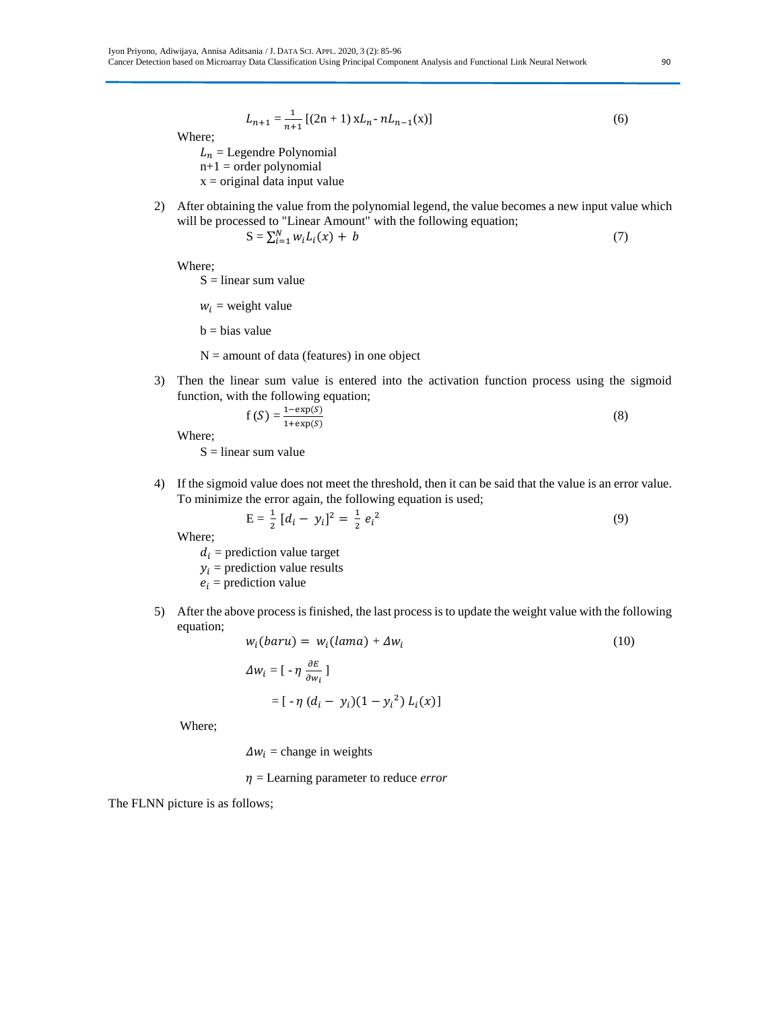$$
L_{n+1} = \frac{1}{n+1} \left[ (2n+1) \, \mathrm{x} L_n - n L_{n-1}(\mathbf{x}) \right] \tag{6}
$$

Where;

 $L_n$  = Legendre Polynomial  $n+1$  = order polynomial  $x = original data input value$ 

2) After obtaining the value from the polynomial legend, the value becomes a new input value which will be processed to "Linear Amount" with the following equation;

$$
S = \sum_{i=1}^{N} w_i L_i(x) + b \tag{7}
$$

Where;

 $S =$  linear sum value

 $w_i$  = weight value

 $b = bias$  value

 $N =$  amount of data (features) in one object

3) Then the linear sum value is entered into the activation function process using the sigmoid function, with the following equation;

$$
f(S) = \frac{1 - \exp(S)}{1 + \exp(S)}
$$
\n(8)

Where;

 $S = linear sum value$ 

4) If the sigmoid value does not meet the threshold, then it can be said that the value is an error value. To minimize the error again, the following equation is used;

$$
E = \frac{1}{2} [d_i - y_i]^2 = \frac{1}{2} e_i^2
$$
 (9)

Where;

 $d_i$  = prediction value target  $y_i$  = prediction value results  $e_i$  = prediction value

5) After the above process is finished, the last process is to update the weight value with the following equation;

$$
w_i(baru) = w_i(lama) + \Delta w_i
$$
\n
$$
\Delta w_i = [-\eta \frac{\partial E}{\partial w_i}]
$$
\n
$$
= [-\eta (d_i - y_i)(1 - y_i^2) L_i(x)]
$$
\n(10)

Where;

 $\Delta w_i$  = change in weights

 $\eta$  = Learning parameter to reduce *error* 

The FLNN picture is as follows;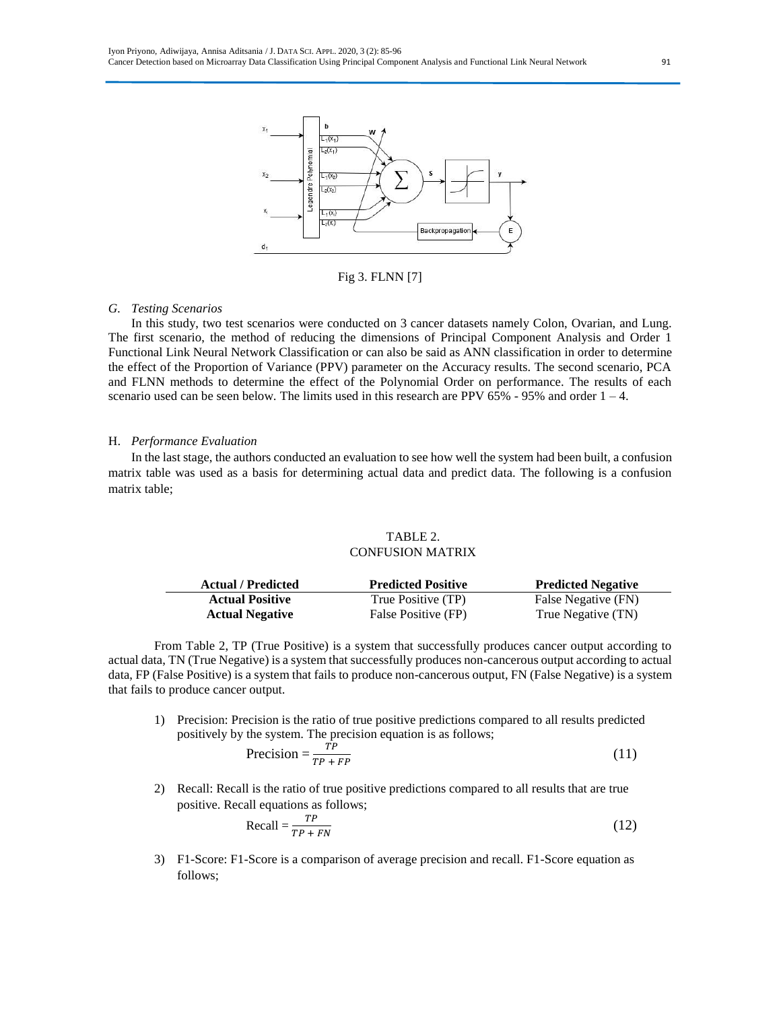

Fig 3. FLNN [7]

## *G. Testing Scenarios*

In this study, two test scenarios were conducted on 3 cancer datasets namely Colon, Ovarian, and Lung. The first scenario, the method of reducing the dimensions of Principal Component Analysis and Order 1 Functional Link Neural Network Classification or can also be said as ANN classification in order to determine the effect of the Proportion of Variance (PPV) parameter on the Accuracy results. The second scenario, PCA and FLNN methods to determine the effect of the Polynomial Order on performance. The results of each scenario used can be seen below. The limits used in this research are PPV  $65\%$  - 95% and order  $1 - 4$ .

## H. *Performance Evaluation*

In the last stage, the authors conducted an evaluation to see how well the system had been built, a confusion matrix table was used as a basis for determining actual data and predict data. The following is a confusion matrix table;

## TABLE 2. CONFUSION MATRIX

| <b>Actual / Predicted</b> | <b>Predicted Positive</b> | <b>Predicted Negative</b> |
|---------------------------|---------------------------|---------------------------|
| <b>Actual Positive</b>    | True Positive (TP)        | False Negative (FN)       |
| <b>Actual Negative</b>    | False Positive (FP)       | True Negative (TN)        |

From Table 2, TP (True Positive) is a system that successfully produces cancer output according to actual data, TN (True Negative) is a system that successfully produces non-cancerous output according to actual data, FP (False Positive) is a system that fails to produce non-cancerous output, FN (False Negative) is a system that fails to produce cancer output.

1) Precision: Precision is the ratio of true positive predictions compared to all results predicted positively by the system. The precision equation is as follows;

$$
Precision = \frac{TP}{TP + FP}
$$
 (11)

2) Recall: Recall is the ratio of true positive predictions compared to all results that are true positive. Recall equations as follows;

$$
Recall = \frac{TP}{TP + FN}
$$
 (12)

3) F1-Score: F1-Score is a comparison of average precision and recall. F1-Score equation as follows;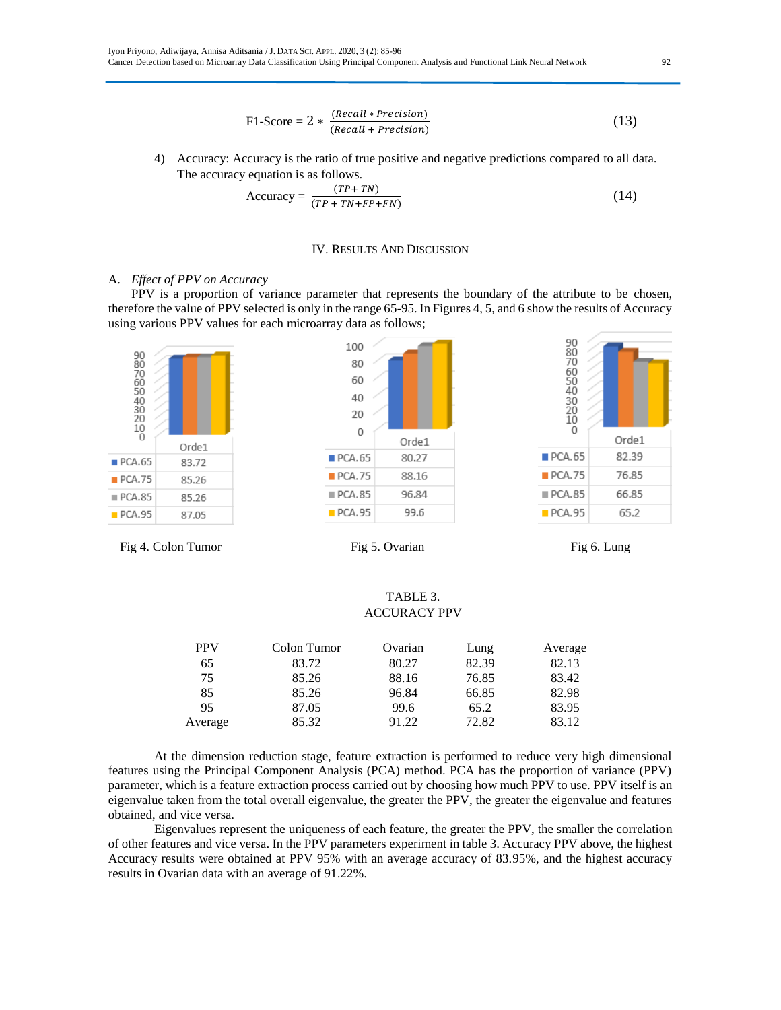$$
F1-Score = 2 * \frac{(Recall * Precision)}{(Recall + Precision)}
$$
\n(13)

4) Accuracy: Accuracy is the ratio of true positive and negative predictions compared to all data. The accuracy equation is as follows.

$$
Accuracy = \frac{(TP + TN)}{(TP + TN + FP + FN)}
$$
 (14)

## IV. RESULTS AND DISCUSSION

## A. *Effect of PPV on Accuracy*

PPV is a proportion of variance parameter that represents the boundary of the attribute to be chosen, therefore the value of PPV selected is only in the range 65-95. In Figures 4, 5, and 6 show the results of Accuracy using various PPV values for each microarray data as follows;



Fig 4. Colon Tumor Fig 5. Ovarian Fig 6. Lung

# TABLE 3. ACCURACY PPV

| PPV     | Colon Tumor | Ovarian | Lung  | Average |
|---------|-------------|---------|-------|---------|
| 65      | 83.72       | 80.27   | 82.39 | 82.13   |
| 75      | 85.26       | 88.16   | 76.85 | 83.42   |
| 85      | 85.26       | 96.84   | 66.85 | 82.98   |
| 95      | 87.05       | 99.6    | 65.2  | 83.95   |
| Average | 85.32       | 91.22   | 72.82 | 83.12   |

At the dimension reduction stage, feature extraction is performed to reduce very high dimensional features using the Principal Component Analysis (PCA) method. PCA has the proportion of variance (PPV) parameter, which is a feature extraction process carried out by choosing how much PPV to use. PPV itself is an eigenvalue taken from the total overall eigenvalue, the greater the PPV, the greater the eigenvalue and features obtained, and vice versa.

Eigenvalues represent the uniqueness of each feature, the greater the PPV, the smaller the correlation of other features and vice versa. In the PPV parameters experiment in table 3. Accuracy PPV above, the highest Accuracy results were obtained at PPV 95% with an average accuracy of 83.95%, and the highest accuracy results in Ovarian data with an average of 91.22%.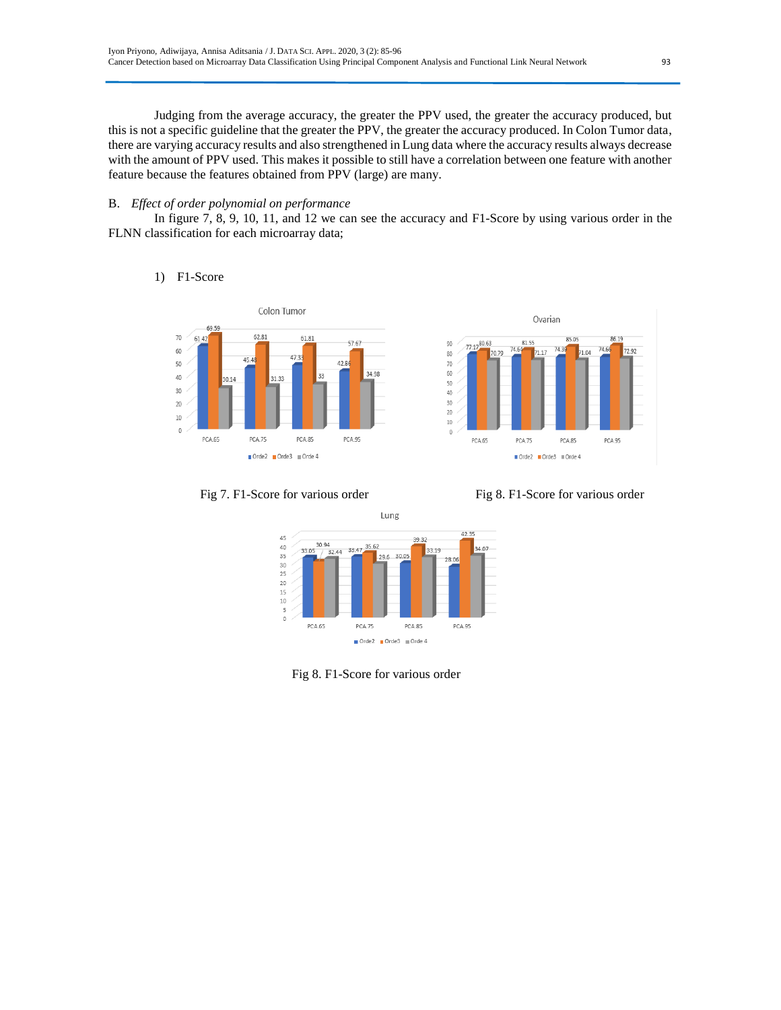Judging from the average accuracy, the greater the PPV used, the greater the accuracy produced, but this is not a specific guideline that the greater the PPV, the greater the accuracy produced. In Colon Tumor data, there are varying accuracy results and also strengthened in Lung data where the accuracy results always decrease with the amount of PPV used. This makes it possible to still have a correlation between one feature with another feature because the features obtained from PPV (large) are many.

## B. *Effect of order polynomial on performance*

In figure 7, 8, 9, 10, 11, and 12 we can see the accuracy and F1-Score by using various order in the FLNN classification for each microarray data;

# 1) F1-Score









Fig 8. F1-Score for various order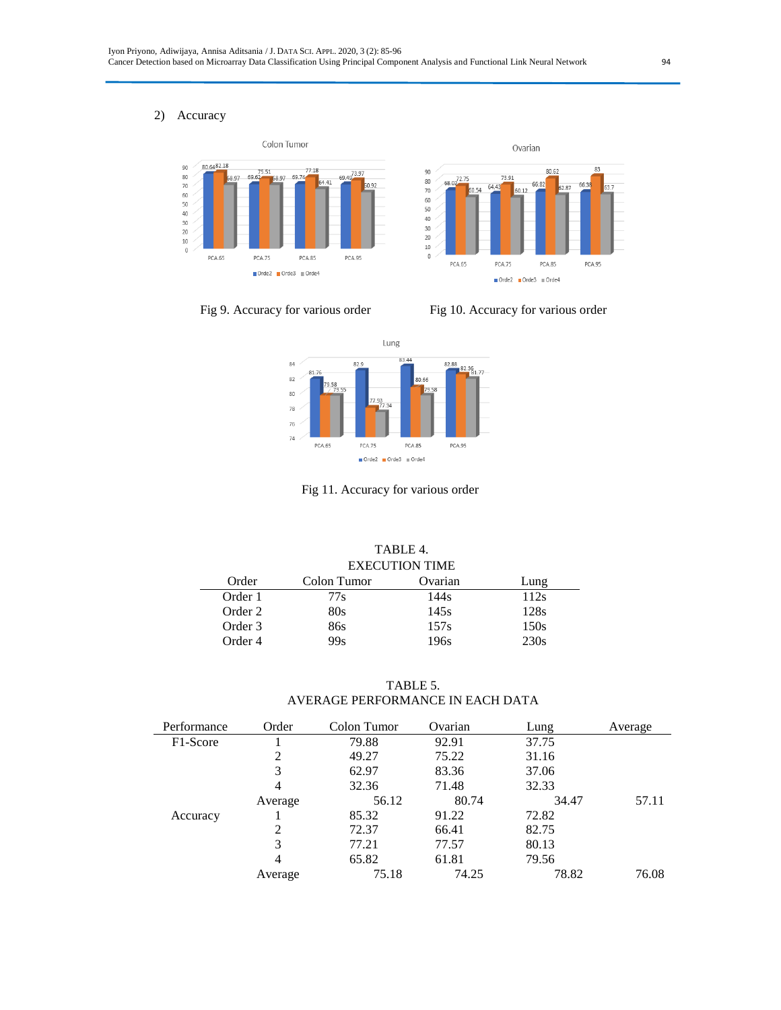# 2) Accuracy





Fig 9. Accuracy for various order Fig 10. Accuracy for various order



Fig 11. Accuracy for various order

#### TABLE 4.  $\overline{\text{CUTION}}$  time

| EAECUTION TIME |             |         |      |  |  |  |
|----------------|-------------|---------|------|--|--|--|
| Order          | Colon Tumor | Ovarian | Lung |  |  |  |
| Order 1        | 77s         | 144s    | 112s |  |  |  |
| Order 2        | 80s         | 145s    | 128s |  |  |  |
| Order 3        | 86s         | 157s    | 150s |  |  |  |
| Order 4        | 99s         | 196s    | 230s |  |  |  |

# TABLE 5. AVERAGE PERFORMANCE IN EACH DATA

| Performance | Order   | Colon Tumor | Ovarian | Lung  | Average |
|-------------|---------|-------------|---------|-------|---------|
| F1-Score    |         | 79.88       | 92.91   | 37.75 |         |
|             | 2       | 49.27       | 75.22   | 31.16 |         |
|             | 3       | 62.97       | 83.36   | 37.06 |         |
|             | 4       | 32.36       | 71.48   | 32.33 |         |
|             | Average | 56.12       | 80.74   | 34.47 | 57.11   |
| Accuracy    |         | 85.32       | 91.22   | 72.82 |         |
|             | 2       | 72.37       | 66.41   | 82.75 |         |
|             | 3       | 77.21       | 77.57   | 80.13 |         |
|             | 4       | 65.82       | 61.81   | 79.56 |         |
|             | Average | 75.18       | 74.25   | 78.82 | 76.08   |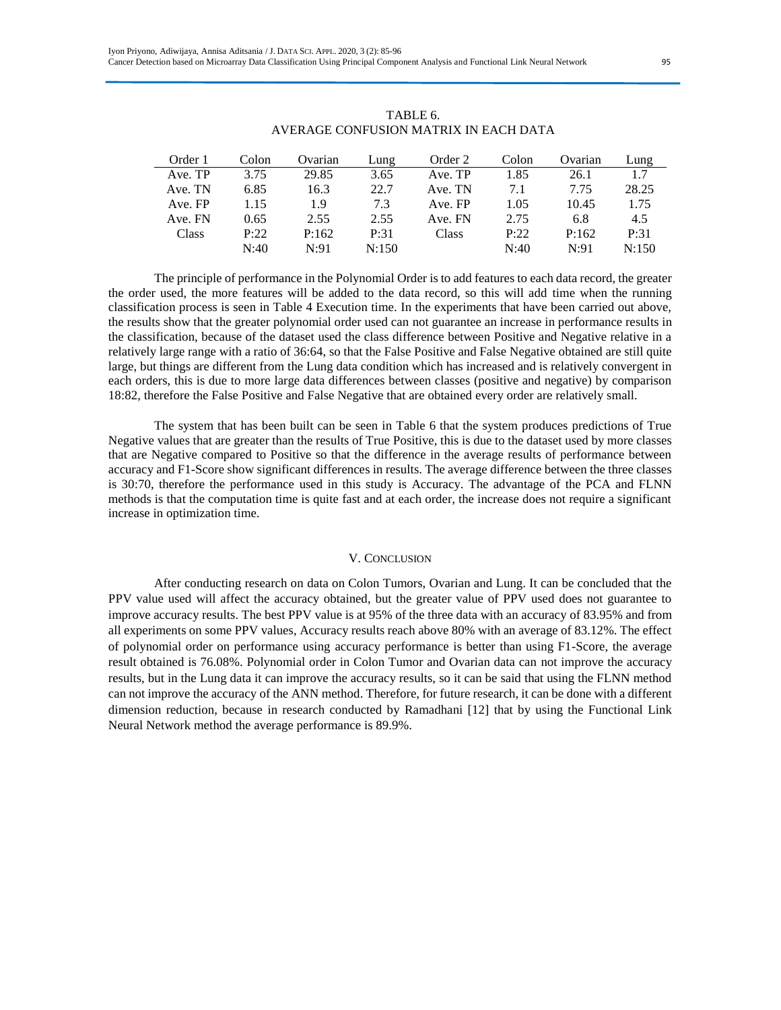| Order 1 | Colon | Ovarian | Lung  | Order 2 | Colon | Ovarian | Lung  |
|---------|-------|---------|-------|---------|-------|---------|-------|
| Ave. TP | 3.75  | 29.85   | 3.65  | Ave. TP | 1.85  | 26.1    | 1.7   |
| Ave. TN | 6.85  | 16.3    | 22.7  | Ave. TN | 7.1   | 7.75    | 28.25 |
| Ave. FP | 1.15  | 1.9     | 7.3   | Ave. FP | 1.05  | 10.45   | 1.75  |
| Ave. FN | 0.65  | 2.55    | 2.55  | Ave. FN | 2.75  | 6.8     | 4.5   |
| Class   | P:22  | P:162   | P:31  | Class   | P:22  | P:162   | P:31  |
|         | N:40  | N:91    | N:150 |         | N:40  | N:91    | N:150 |

# TABLE 6. AVERAGE CONFUSION MATRIX IN EACH DATA

The principle of performance in the Polynomial Order is to add features to each data record, the greater the order used, the more features will be added to the data record, so this will add time when the running classification process is seen in Table 4 Execution time. In the experiments that have been carried out above, the results show that the greater polynomial order used can not guarantee an increase in performance results in the classification, because of the dataset used the class difference between Positive and Negative relative in a relatively large range with a ratio of 36:64, so that the False Positive and False Negative obtained are still quite large, but things are different from the Lung data condition which has increased and is relatively convergent in each orders, this is due to more large data differences between classes (positive and negative) by comparison 18:82, therefore the False Positive and False Negative that are obtained every order are relatively small.

The system that has been built can be seen in Table 6 that the system produces predictions of True Negative values that are greater than the results of True Positive, this is due to the dataset used by more classes that are Negative compared to Positive so that the difference in the average results of performance between accuracy and F1-Score show significant differences in results. The average difference between the three classes is 30:70, therefore the performance used in this study is Accuracy. The advantage of the PCA and FLNN methods is that the computation time is quite fast and at each order, the increase does not require a significant increase in optimization time.

#### V. CONCLUSION

After conducting research on data on Colon Tumors, Ovarian and Lung. It can be concluded that the PPV value used will affect the accuracy obtained, but the greater value of PPV used does not guarantee to improve accuracy results. The best PPV value is at 95% of the three data with an accuracy of 83.95% and from all experiments on some PPV values, Accuracy results reach above 80% with an average of 83.12%. The effect of polynomial order on performance using accuracy performance is better than using F1-Score, the average result obtained is 76.08%. Polynomial order in Colon Tumor and Ovarian data can not improve the accuracy results, but in the Lung data it can improve the accuracy results, so it can be said that using the FLNN method can not improve the accuracy of the ANN method. Therefore, for future research, it can be done with a different dimension reduction, because in research conducted by Ramadhani [12] that by using the Functional Link Neural Network method the average performance is 89.9%.